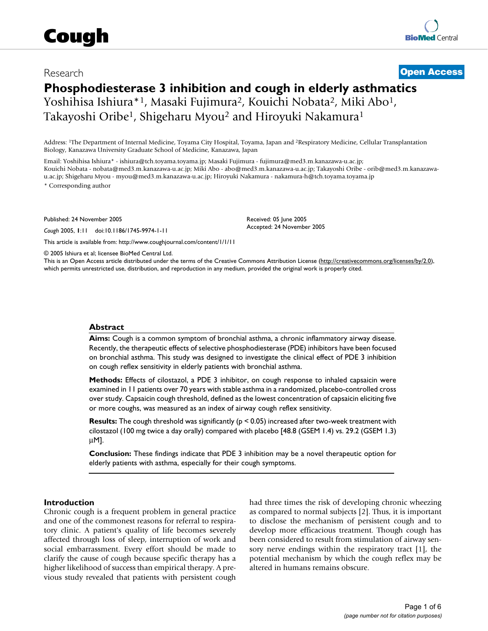# Research **[Open Access](http://www.biomedcentral.com/info/about/charter/)**

# **Phosphodiesterase 3 inhibition and cough in elderly asthmatics** Yoshihisa Ishiura\*1, Masaki Fujimura2, Kouichi Nobata2, Miki Abo1, Takayoshi Oribe<sup>1</sup>, Shigeharu Myou<sup>2</sup> and Hiroyuki Nakamura<sup>1</sup>

Address: 1The Department of Internal Medicine, Toyama City Hospital, Toyama, Japan and 2Respiratory Medicine, Cellular Transplantation Biology, Kanazawa University Graduate School of Medicine, Kanazawa, Japan

Email: Yoshihisa Ishiura\* - ishiura@tch.toyama.toyama.jp; Masaki Fujimura - fujimura@med3.m.kanazawa-u.ac.jp; Kouichi Nobata - nobata@med3.m.kanazawa-u.ac.jp; Miki Abo - abo@med3.m.kanazawa-u.ac.jp; Takayoshi Oribe - orib@med3.m.kanazawau.ac.jp; Shigeharu Myou - myou@med3.m.kanazawa-u.ac.jp; Hiroyuki Nakamura - nakamura-h@tch.toyama.toyama.jp \* Corresponding author

Published: 24 November 2005

*Cough* 2005, **1**:11 doi:10.1186/1745-9974-1-11

[This article is available from: http://www.coughjournal.com/content/1/1/11](http://www.coughjournal.com/content/1/1/11)

Received: 05 June 2005 Accepted: 24 November 2005

© 2005 Ishiura et al; licensee BioMed Central Ltd.

This is an Open Access article distributed under the terms of the Creative Commons Attribution License [\(http://creativecommons.org/licenses/by/2.0\)](http://creativecommons.org/licenses/by/2.0), which permits unrestricted use, distribution, and reproduction in any medium, provided the original work is properly cited.

#### **Abstract**

**Aims:** Cough is a common symptom of bronchial asthma, a chronic inflammatory airway disease. Recently, the therapeutic effects of selective phosphodiesterase (PDE) inhibitors have been focused on bronchial asthma. This study was designed to investigate the clinical effect of PDE 3 inhibition on cough reflex sensitivity in elderly patients with bronchial asthma.

**Methods:** Effects of cilostazol, a PDE 3 inhibitor, on cough response to inhaled capsaicin were examined in 11 patients over 70 years with stable asthma in a randomized, placebo-controlled cross over study. Capsaicin cough threshold, defined as the lowest concentration of capsaicin eliciting five or more coughs, was measured as an index of airway cough reflex sensitivity.

**Results:** The cough threshold was significantly ( $p < 0.05$ ) increased after two-week treatment with cilostazol (100 mg twice a day orally) compared with placebo [48.8 (GSEM 1.4) vs. 29.2 (GSEM 1.3) µM].

**Conclusion:** These findings indicate that PDE 3 inhibition may be a novel therapeutic option for elderly patients with asthma, especially for their cough symptoms.

#### **Introduction**

Chronic cough is a frequent problem in general practice and one of the commonest reasons for referral to respiratory clinic. A patient's quality of life becomes severely affected through loss of sleep, interruption of work and social embarrassment. Every effort should be made to clarify the cause of cough because specific therapy has a higher likelihood of success than empirical therapy. A previous study revealed that patients with persistent cough had three times the risk of developing chronic wheezing as compared to normal subjects [2]. Thus, it is important to disclose the mechanism of persistent cough and to develop more efficacious treatment. Though cough has been considered to result from stimulation of airway sensory nerve endings within the respiratory tract [1], the potential mechanism by which the cough reflex may be altered in humans remains obscure.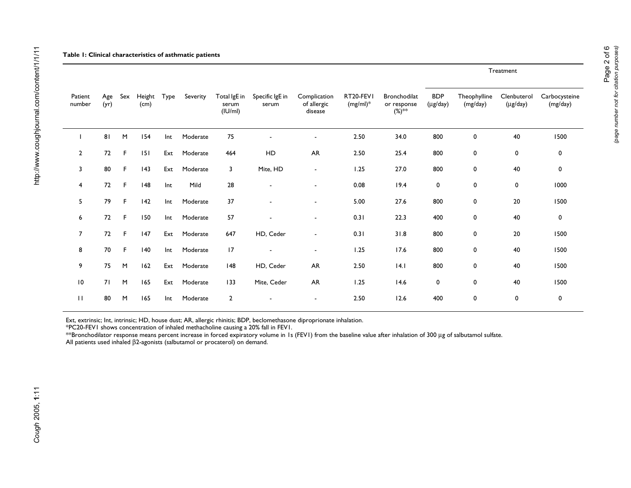|                   |             |     |                |      |          |                                  |                          |                                        |                          |                                            | Treatment                            |                          |                              |                           |
|-------------------|-------------|-----|----------------|------|----------|----------------------------------|--------------------------|----------------------------------------|--------------------------|--------------------------------------------|--------------------------------------|--------------------------|------------------------------|---------------------------|
| Patient<br>number | Age<br>(yr) | Sex | Height<br>(cm) | Type | Severity | Total IgE in<br>serum<br>(IU/ml) | Specific IgE in<br>serum | Complication<br>of allergic<br>disease | RT20-FEVI<br>$(mg/ml)^*$ | Bronchodilat<br>or response<br>$(\%)^{**}$ | <b>BDP</b><br>$(\mu g / \text{day})$ | Theophylline<br>(mg/day) | Clenbuterol<br>$(\mu$ g/day) | Carbocysteine<br>(mg/day) |
|                   | 81          | M   | 154            | Int  | Moderate | 75                               |                          | $\blacksquare$                         | 2.50                     | 34.0                                       | 800                                  | 0                        | 40                           | 1500                      |
| $\overline{2}$    | 72          | F.  | 151            | Ext  | Moderate | 464                              | HD                       | AR                                     | $2.50\,$                 | 25.4                                       | 800                                  | 0                        | 0                            | $\mathbf 0$               |
| 3                 | 80          | F.  | 143            | Ext  | Moderate | 3                                | Mite, HD                 | $\blacksquare$                         | 1.25                     | 27.0                                       | 800                                  | 0                        | 40                           | $\mathbf 0$               |
| 4                 | 72          | F.  | 148            | Int  | Mild     | 28                               |                          | $\blacksquare$                         | 0.08                     | 19.4                                       | $\mathbf 0$                          | 0                        | 0                            | 1000                      |
| 5                 | 79          | F.  | 142            | Int  | Moderate | 37                               |                          | $\blacksquare$                         | 5.00                     | 27.6                                       | 800                                  | 0                        | 20                           | 1500                      |
| 6                 | 72          | F.  | 150            | Int  | Moderate | 57                               |                          | $\blacksquare$                         | 0.31                     | 22.3                                       | 400                                  | 0                        | 40                           | 0                         |
| $\overline{7}$    | 72          | F.  | 147            | Ext  | Moderate | 647                              | HD, Ceder                | $\blacksquare$                         | 0.31                     | 31.8                                       | 800                                  | 0                        | 20                           | 1500                      |
| 8                 | 70          | F.  | 140            | Int  | Moderate | 17                               |                          | $\blacksquare$                         | 1.25                     | 17.6                                       | 800                                  | 0                        | 40                           | 1500                      |
| 9                 | 75          | M   | 162            | Ext  | Moderate | 148                              | HD, Ceder                | <b>AR</b>                              | 2.50                     | 4.1                                        | 800                                  | 0                        | 40                           | 1500                      |
| $\overline{10}$   | 71          | M   | 165            | Ext  | Moderate | 133                              | Mite, Ceder              | AR                                     | 1.25                     | 14.6                                       | 0                                    | 0                        | 40                           | 1500                      |
| П                 | 80          | M   | 165            | Int  | Moderate | $\overline{2}$                   |                          |                                        | 2.50                     | 12.6                                       | 400                                  | 0                        | 0                            | $\mathbf 0$               |

Ext, extrinsic; Int, intrinsic; HD, house dust; AR, allergic rhinitis; BDP, beclomethasone diproprionate inhalation.

\*PC20-FEV1 shows concentration of inhaled methacholine causing a 20% fall in FEV1.

\*\*Bronchodilator response means percent increase in forced expiratory volume in 1s (FEV1) from the baseline value after inhalation of 300 µg of salbutamol sulfate.

All patients used inhaled β2-agonists (salbutamol or procaterol) on demand.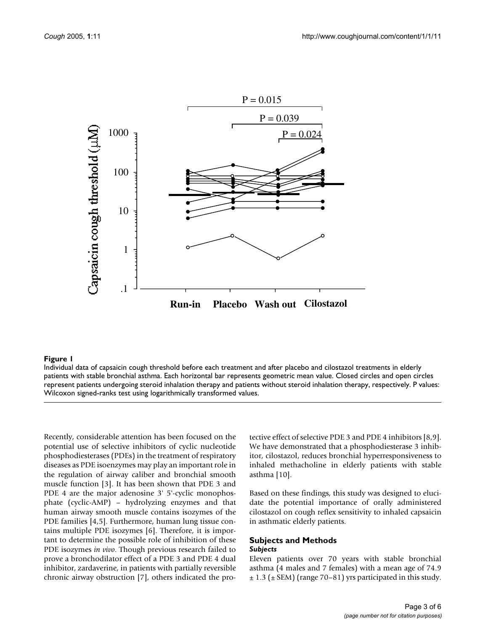

#### Individual data of capsaicin cough thresh patients with stable bronchial asthma **Figure 1** old before each treatment and after placebo and cilostazol treatments in elderly

Individual data of capsaicin cough threshold before each treatment and after placebo and cilostazol treatments in elderly patients with stable bronchial asthma. Each horizontal bar represents geometric mean value. Closed circles and open circles represent patients undergoing steroid inhalation therapy and patients without steroid inhalation therapy, respectively. P values: Wilcoxon signed-ranks test using logarithmically transformed values.

Recently, considerable attention has been focused on the potential use of selective inhibitors of cyclic nucleotide phosphodiesterases (PDEs) in the treatment of respiratory diseases as PDE isoenzymes may play an important role in the regulation of airway caliber and bronchial smooth muscle function [3]. It has been shown that PDE 3 and PDE 4 are the major adenosine 3' 5'-cyclic monophosphate (cyclic-AMP) – hydrolyzing enzymes and that human airway smooth muscle contains isozymes of the PDE families [4,5]. Furthermore, human lung tissue contains multiple PDE isozymes [6]. Therefore, it is important to determine the possible role of inhibition of these PDE isozymes *in vivo*. Though previous research failed to prove a bronchodilator effect of a PDE 3 and PDE 4 dual inhibitor, zardaverine, in patients with partially reversible chronic airway obstruction [7], others indicated the pro-

tective effect of selective PDE 3 and PDE 4 inhibitors [8,9]. We have demonstrated that a phosphodiesterase 3 inhibitor, cilostazol, reduces bronchial hyperresponsiveness to inhaled methacholine in elderly patients with stable asthma [10].

Based on these findings, this study was designed to elucidate the potential importance of orally administered cilostazol on cough reflex sensitivity to inhaled capsaicin in asthmatic elderly patients.

#### **Subjects and Methods** *Subjects*

Eleven patients over 70 years with stable bronchial asthma (4 males and 7 females) with a mean age of 74.9  $\pm$  1.3 ( $\pm$  SEM) (range 70–81) yrs participated in this study.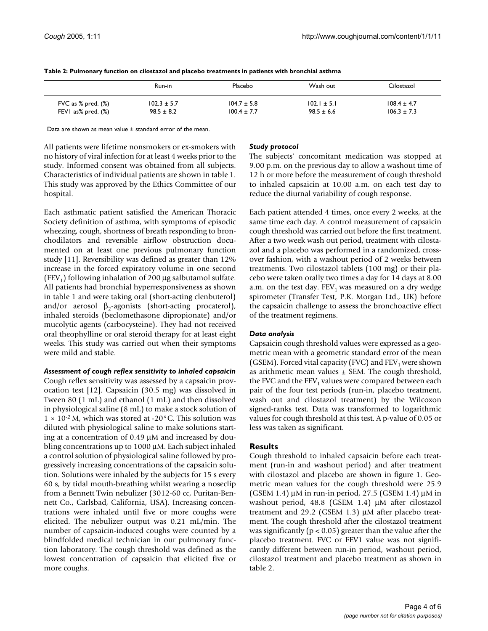|                       | Run-in          | Placebo         | Wash out        | Cilostazol      |
|-----------------------|-----------------|-----------------|-----------------|-----------------|
| FVC as $%$ pred. $(%$ | $102.3 \pm 5.7$ | $104.7 \pm 5.8$ | $102.1 \pm 5.1$ | $108.4 \pm 4.7$ |
| FEVI as% pred. $(\%)$ | $98.5 \pm 8.2$  | $100.4 \pm 7.7$ | $98.5 \pm 6.6$  | $106.3 \pm 7.3$ |

**Table 2: Pulmonary function on cilostazol and placebo treatments in patients with bronchial asthma**

Data are shown as mean value ± standard error of the mean.

All patients were lifetime nonsmokers or ex-smokers with no history of viral infection for at least 4 weeks prior to the study. Informed consent was obtained from all subjects. Characteristics of individual patients are shown in table 1. This study was approved by the Ethics Committee of our hospital.

Each asthmatic patient satisfied the American Thoracic Society definition of asthma, with symptoms of episodic wheezing, cough, shortness of breath responding to bronchodilators and reversible airflow obstruction documented on at least one previous pulmonary function study [11]. Reversibility was defined as greater than 12% increase in the forced expiratory volume in one second (FEV<sub>1</sub>) following inhalation of 200  $\mu$ g salbutamol sulfate. All patients had bronchial hyperresponsiveness as shown in table 1 and were taking oral (short-acting clenbuterol) and/or aerosol  $\beta_2$ -agonists (short-acting procaterol), inhaled steroids (beclomethasone dipropionate) and/or mucolytic agents (carbocysteine). They had not received oral theophylline or oral steroid therapy for at least eight weeks. This study was carried out when their symptoms were mild and stable.

*Assessment of cough reflex sensitivity to inhaled capsaicin* Cough reflex sensitivity was assessed by a capsaicin provocation test [12]. Capsaicin (30.5 mg) was dissolved in Tween 80 (1 mL) and ethanol (1 mL) and then dissolved in physiological saline (8 mL) to make a stock solution of  $1 \times 10^{-2}$  M, which was stored at -20 °C. This solution was diluted with physiological saline to make solutions starting at a concentration of 0.49 µM and increased by doubling concentrations up to 1000 µM. Each subject inhaled

a control solution of physiological saline followed by progressively increasing concentrations of the capsaicin solution. Solutions were inhaled by the subjects for 15 s every 60 s, by tidal mouth-breathing whilst wearing a noseclip from a Bennett Twin nebulizer (3012-60 cc, Puritan-Bennett Co., Carlsbad, California, USA). Increasing concentrations were inhaled until five or more coughs were elicited. The nebulizer output was 0.21 mL/min. The number of capsaicin-induced coughs were counted by a blindfolded medical technician in our pulmonary function laboratory. The cough threshold was defined as the lowest concentration of capsaicin that elicited five or more coughs.

### *Study protocol*

The subjects' concomitant medication was stopped at 9.00 p.m. on the previous day to allow a washout time of 12 h or more before the measurement of cough threshold to inhaled capsaicin at 10.00 a.m. on each test day to reduce the diurnal variability of cough response.

Each patient attended 4 times, once every 2 weeks, at the same time each day. A control measurement of capsaicin cough threshold was carried out before the first treatment. After a two week wash out period, treatment with cilostazol and a placebo was performed in a randomized, crossover fashion, with a washout period of 2 weeks between treatments. Two cilostazol tablets (100 mg) or their placebo were taken orally two times a day for 14 days at 8.00 a.m. on the test day.  $FEV<sub>1</sub>$  was measured on a dry wedge spirometer (Transfer Test, P.K. Morgan Ltd., UK) before the capsaicin challenge to assess the bronchoactive effect of the treatment regimens.

#### *Data analysis*

Capsaicin cough threshold values were expressed as a geometric mean with a geometric standard error of the mean (GSEM). Forced vital capacity (FVC) and  $FEV<sub>1</sub>$  were shown as arithmetic mean values  $\pm$  SEM. The cough threshold, the FVC and the FEV<sub>1</sub> values were compared between each pair of the four test periods (run-in, placebo treatment, wash out and cilostazol treatment) by the Wilcoxon signed-ranks test. Data was transformed to logarithmic values for cough threshold at this test. A p-value of 0.05 or less was taken as significant.

# **Results**

Cough threshold to inhaled capsaicin before each treatment (run-in and washout period) and after treatment with cilostazol and placebo are shown in figure 1. Geometric mean values for the cough threshold were 25.9 (GSEM 1.4)  $\mu$ M in run-in period, 27.5 (GSEM 1.4)  $\mu$ M in washout period, 48.8 (GSEM 1.4) µM after cilostazol treatment and 29.2 (GSEM 1.3) µM after placebo treatment. The cough threshold after the cilostazol treatment was significantly ( $p < 0.05$ ) greater than the value after the placebo treatment. FVC or FEV1 value was not significantly different between run-in period, washout period, cilostazol treatment and placebo treatment as shown in table 2.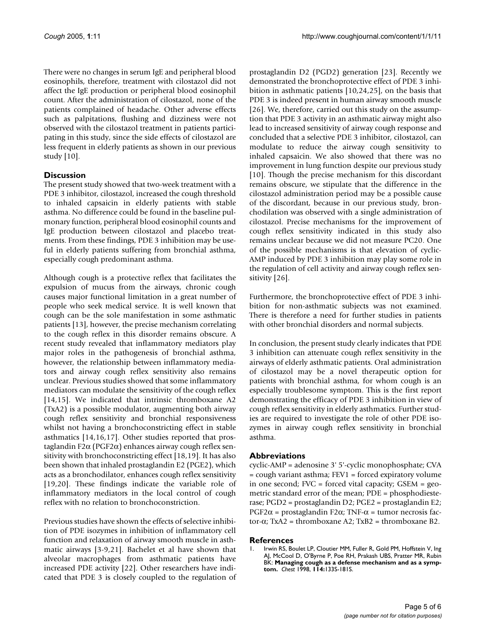There were no changes in serum IgE and peripheral blood eosinophils, therefore, treatment with cilostazol did not affect the IgE production or peripheral blood eosinophil count. After the administration of cilostazol, none of the patients complained of headache. Other adverse effects such as palpitations, flushing and dizziness were not observed with the cilostazol treatment in patients participating in this study, since the side effects of cilostazol are less frequent in elderly patients as shown in our previous study [10].

# **Discussion**

The present study showed that two-week treatment with a PDE 3 inhibitor, cilostazol, increased the cough threshold to inhaled capsaicin in elderly patients with stable asthma. No difference could be found in the baseline pulmonary function, peripheral blood eosinophil counts and IgE production between cilostazol and placebo treatments. From these findings, PDE 3 inhibition may be useful in elderly patients suffering from bronchial asthma, especially cough predominant asthma.

Although cough is a protective reflex that facilitates the expulsion of mucus from the airways, chronic cough causes major functional limitation in a great number of people who seek medical service. It is well known that cough can be the sole manifestation in some asthmatic patients [13], however, the precise mechanism correlating to the cough reflex in this disorder remains obscure. A recent study revealed that inflammatory mediators play major roles in the pathogenesis of bronchial asthma, however, the relationship between inflammatory mediators and airway cough reflex sensitivity also remains unclear. Previous studies showed that some inflammatory mediators can modulate the sensitivity of the cough reflex [14,15]. We indicated that intrinsic thromboxane A2 (TxA2) is a possible modulator, augmenting both airway cough reflex sensitivity and bronchial responsiveness whilst not having a bronchoconstricting effect in stable asthmatics [14,16,17]. Other studies reported that prostaglandin F2α (PGF2α) enhances airway cough reflex sensitivity with bronchoconstricting effect [18,19]. It has also been shown that inhaled prostaglandin E2 (PGE2), which acts as a bronchodilator, enhances cough reflex sensitivity [19,20]. These findings indicate the variable role of inflammatory mediators in the local control of cough reflex with no relation to bronchoconstriction.

Previous studies have shown the effects of selective inhibition of PDE isozymes in inhibition of inflammatory cell function and relaxation of airway smooth muscle in asthmatic airways [3-9,21]. Bachelet et al have shown that alveolar macrophages from asthmatic patients have increased PDE activity [22]. Other researchers have indicated that PDE 3 is closely coupled to the regulation of prostaglandin D2 (PGD2) generation [23]. Recently we demonstrated the bronchoprotective effect of PDE 3 inhibition in asthmatic patients [10,24,25], on the basis that PDE 3 is indeed present in human airway smooth muscle [26]. We, therefore, carried out this study on the assumption that PDE 3 activity in an asthmatic airway might also lead to increased sensitivity of airway cough response and concluded that a selective PDE 3 inhibitor, cilostazol, can modulate to reduce the airway cough sensitivity to inhaled capsaicin. We also showed that there was no improvement in lung function despite our previous study [10]. Though the precise mechanism for this discordant remains obscure, we stipulate that the difference in the cilostazol administration period may be a possible cause of the discordant, because in our previous study, bronchodilation was observed with a single administration of cilostazol. Precise mechanisms for the improvement of cough reflex sensitivity indicated in this study also remains unclear because we did not measure PC20. One of the possible mechanisms is that elevation of cyclic-AMP induced by PDE 3 inhibition may play some role in the regulation of cell activity and airway cough reflex sensitivity [26].

Furthermore, the bronchoprotective effect of PDE 3 inhibition for non-asthmatic subjects was not examined. There is therefore a need for further studies in patients with other bronchial disorders and normal subjects.

In conclusion, the present study clearly indicates that PDE 3 inhibition can attenuate cough reflex sensitivity in the airways of elderly asthmatic patients. Oral administration of cilostazol may be a novel therapeutic option for patients with bronchial asthma, for whom cough is an especially troublesome symptom. This is the first report demonstrating the efficacy of PDE 3 inhibition in view of cough reflex sensitivity in elderly asthmatics. Further studies are required to investigate the role of other PDE isozymes in airway cough reflex sensitivity in bronchial asthma.

# **Abbreviations**

cyclic-AMP = adenosine 3' 5'-cyclic monophosphate; CVA = cough variant asthma; FEV1 = forced expiratory volume in one second; FVC = forced vital capacity; GSEM = geometric standard error of the mean; PDE = phosphodiesterase; PGD2 = prostaglandin D2; PGE2 = prostaglandin E2; PGF2α = prostaglandin F2α; TNF-α = tumor necrosis factor-α; TxA2 = thromboxane A2; TxB2 = thromboxane B2.

# **References**

1. Irwin RS, Boulet LP, Cloutier MM, Fuller R, Gold PM, Hoffstein V, Ing AJ, McCool D, O'Byrne P, Poe RH, Prakash UBS, Pratter MR, Rubin BK: **[Managing cough as a defense mechanism and as a symp](http://www.ncbi.nlm.nih.gov/entrez/query.fcgi?cmd=Retrieve&db=PubMed&dopt=Abstract&list_uids=9725800)[tom.](http://www.ncbi.nlm.nih.gov/entrez/query.fcgi?cmd=Retrieve&db=PubMed&dopt=Abstract&list_uids=9725800)** *Chest* 1998, **114:**133S-181S.